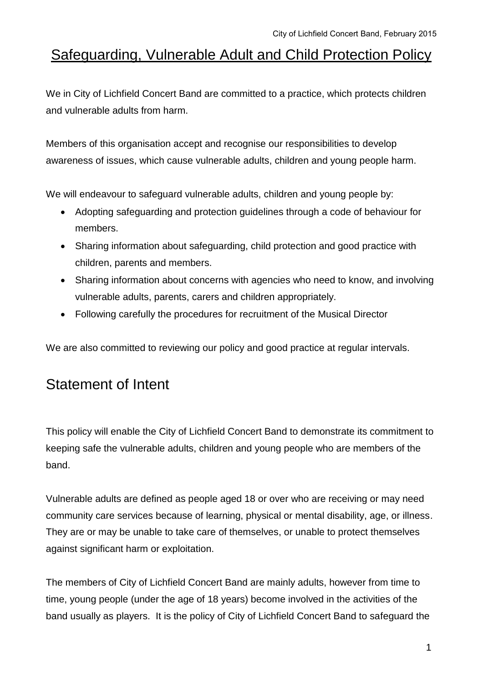## Safeguarding, Vulnerable Adult and Child Protection Policy

We in City of Lichfield Concert Band are committed to a practice, which protects children and vulnerable adults from harm.

Members of this organisation accept and recognise our responsibilities to develop awareness of issues, which cause vulnerable adults, children and young people harm.

We will endeavour to safeguard vulnerable adults, children and young people by:

- Adopting safeguarding and protection guidelines through a code of behaviour for members.
- Sharing information about safeguarding, child protection and good practice with children, parents and members.
- Sharing information about concerns with agencies who need to know, and involving vulnerable adults, parents, carers and children appropriately.
- Following carefully the procedures for recruitment of the Musical Director

We are also committed to reviewing our policy and good practice at regular intervals.

### Statement of Intent

This policy will enable the City of Lichfield Concert Band to demonstrate its commitment to keeping safe the vulnerable adults, children and young people who are members of the band.

Vulnerable adults are defined as people aged 18 or over who are receiving or may need community care services because of learning, physical or mental disability, age, or illness. They are or may be unable to take care of themselves, or unable to protect themselves against significant harm or exploitation.

The members of City of Lichfield Concert Band are mainly adults, however from time to time, young people (under the age of 18 years) become involved in the activities of the band usually as players. It is the policy of City of Lichfield Concert Band to safeguard the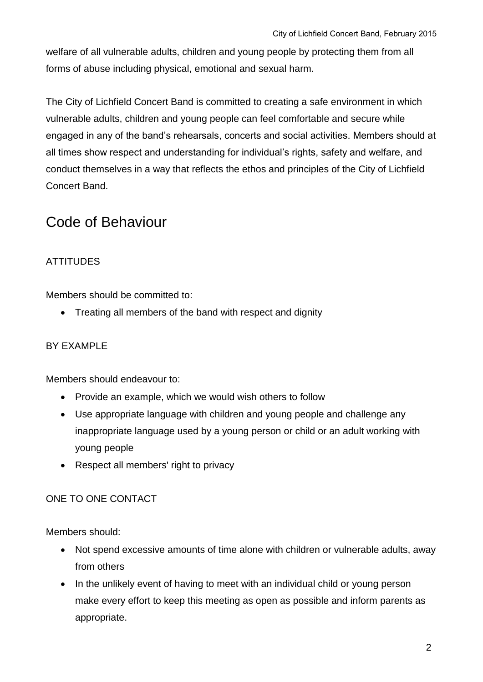welfare of all vulnerable adults, children and young people by protecting them from all forms of abuse including physical, emotional and sexual harm.

The City of Lichfield Concert Band is committed to creating a safe environment in which vulnerable adults, children and young people can feel comfortable and secure while engaged in any of the band's rehearsals, concerts and social activities. Members should at all times show respect and understanding for individual's rights, safety and welfare, and conduct themselves in a way that reflects the ethos and principles of the City of Lichfield Concert Band.

### Code of Behaviour

### **ATTITUDES**

Members should be committed to:

• Treating all members of the band with respect and dignity

#### BY EXAMPLE

Members should endeavour to:

- Provide an example, which we would wish others to follow
- Use appropriate language with children and young people and challenge any inappropriate language used by a young person or child or an adult working with young people
- Respect all members' right to privacy

#### ONE TO ONE CONTACT

Members should:

- Not spend excessive amounts of time alone with children or vulnerable adults, away from others
- In the unlikely event of having to meet with an individual child or young person make every effort to keep this meeting as open as possible and inform parents as appropriate.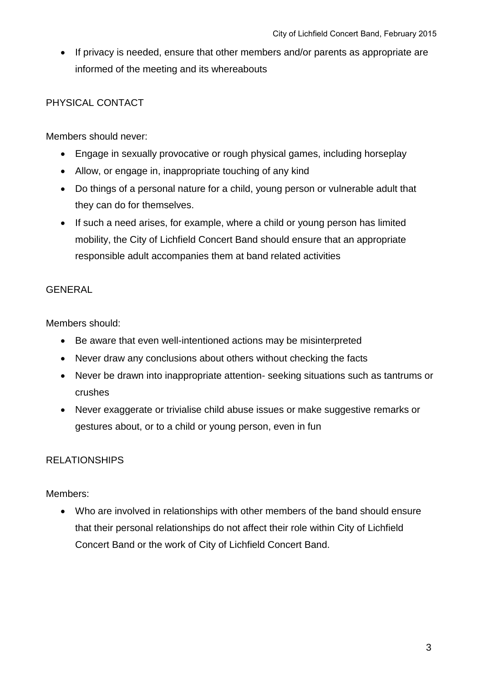• If privacy is needed, ensure that other members and/or parents as appropriate are informed of the meeting and its whereabouts

### PHYSICAL CONTACT

Members should never:

- Engage in sexually provocative or rough physical games, including horseplay
- Allow, or engage in, inappropriate touching of any kind
- Do things of a personal nature for a child, young person or vulnerable adult that they can do for themselves.
- If such a need arises, for example, where a child or young person has limited mobility, the City of Lichfield Concert Band should ensure that an appropriate responsible adult accompanies them at band related activities

#### GENERAL

Members should:

- Be aware that even well-intentioned actions may be misinterpreted
- Never draw any conclusions about others without checking the facts
- Never be drawn into inappropriate attention- seeking situations such as tantrums or crushes
- Never exaggerate or trivialise child abuse issues or make suggestive remarks or gestures about, or to a child or young person, even in fun

### RELATIONSHIPS

#### Members:

• Who are involved in relationships with other members of the band should ensure that their personal relationships do not affect their role within City of Lichfield Concert Band or the work of City of Lichfield Concert Band.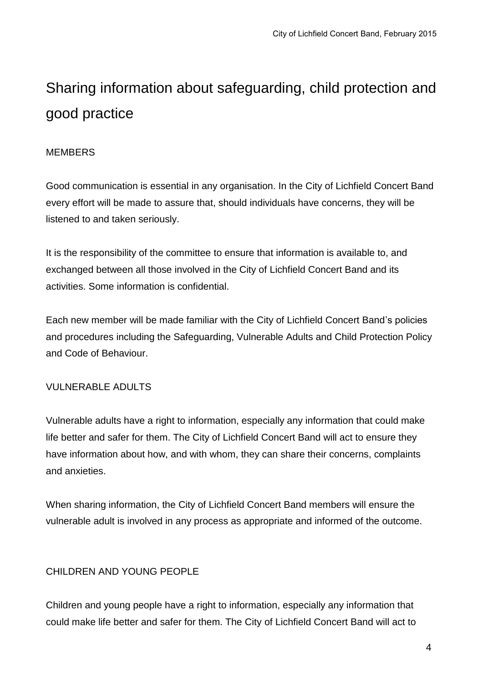# Sharing information about safeguarding, child protection and good practice

### **MEMBERS**

Good communication is essential in any organisation. In the City of Lichfield Concert Band every effort will be made to assure that, should individuals have concerns, they will be listened to and taken seriously.

It is the responsibility of the committee to ensure that information is available to, and exchanged between all those involved in the City of Lichfield Concert Band and its activities. Some information is confidential.

Each new member will be made familiar with the City of Lichfield Concert Band's policies and procedures including the Safeguarding, Vulnerable Adults and Child Protection Policy and Code of Behaviour.

#### VULNERABLE ADULTS

Vulnerable adults have a right to information, especially any information that could make life better and safer for them. The City of Lichfield Concert Band will act to ensure they have information about how, and with whom, they can share their concerns, complaints and anxieties.

When sharing information, the City of Lichfield Concert Band members will ensure the vulnerable adult is involved in any process as appropriate and informed of the outcome.

### CHILDREN AND YOUNG PEOPLE

Children and young people have a right to information, especially any information that could make life better and safer for them. The City of Lichfield Concert Band will act to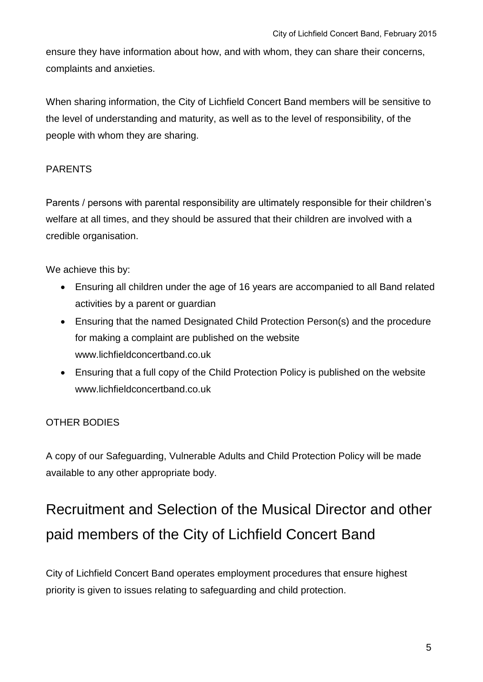ensure they have information about how, and with whom, they can share their concerns, complaints and anxieties.

When sharing information, the City of Lichfield Concert Band members will be sensitive to the level of understanding and maturity, as well as to the level of responsibility, of the people with whom they are sharing.

### PARENTS

Parents / persons with parental responsibility are ultimately responsible for their children's welfare at all times, and they should be assured that their children are involved with a credible organisation.

We achieve this by:

- Ensuring all children under the age of 16 years are accompanied to all Band related activities by a parent or guardian
- Ensuring that the named Designated Child Protection Person(s) and the procedure for making a complaint are published on the website www.lichfieldconcertband.co.uk
- Ensuring that a full copy of the Child Protection Policy is published on the website www.lichfieldconcertband.co.uk

### OTHER BODIES

A copy of our Safeguarding, Vulnerable Adults and Child Protection Policy will be made available to any other appropriate body.

# Recruitment and Selection of the Musical Director and other paid members of the City of Lichfield Concert Band

City of Lichfield Concert Band operates employment procedures that ensure highest priority is given to issues relating to safeguarding and child protection.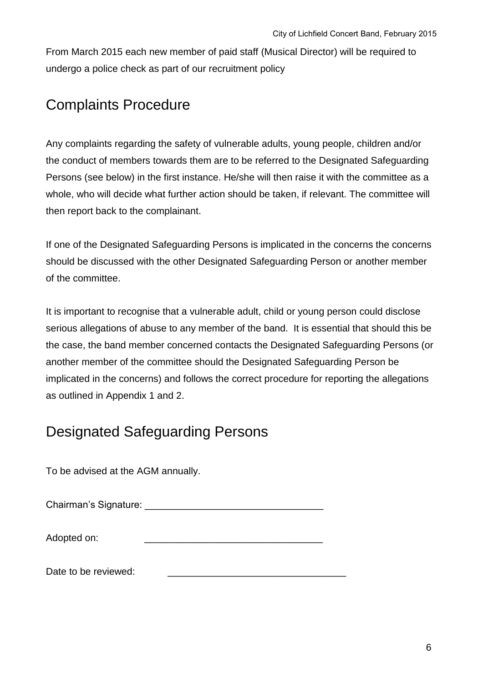From March 2015 each new member of paid staff (Musical Director) will be required to undergo a police check as part of our recruitment policy

## Complaints Procedure

Any complaints regarding the safety of vulnerable adults, young people, children and/or the conduct of members towards them are to be referred to the Designated Safeguarding Persons (see below) in the first instance. He/she will then raise it with the committee as a whole, who will decide what further action should be taken, if relevant. The committee will then report back to the complainant.

If one of the Designated Safeguarding Persons is implicated in the concerns the concerns should be discussed with the other Designated Safeguarding Person or another member of the committee.

It is important to recognise that a vulnerable adult, child or young person could disclose serious allegations of abuse to any member of the band. It is essential that should this be the case, the band member concerned contacts the Designated Safeguarding Persons (or another member of the committee should the Designated Safeguarding Person be implicated in the concerns) and follows the correct procedure for reporting the allegations as outlined in Appendix 1 and 2.

# Designated Safeguarding Persons

To be advised at the AGM annually.

Chairman's Signature: **Example 2018** 

Adopted on:

Date to be reviewed: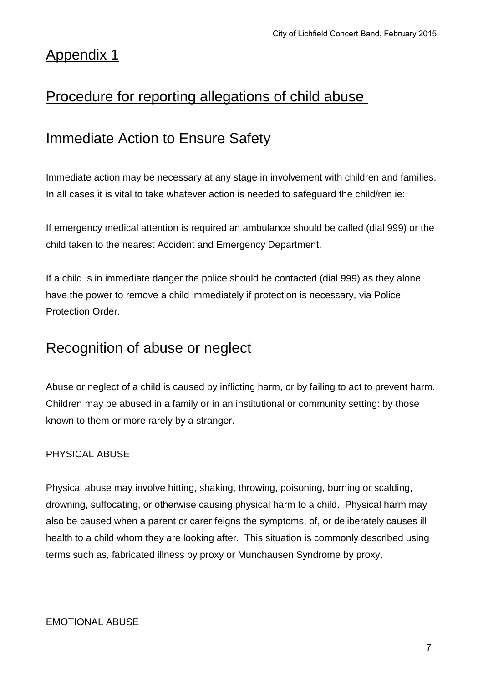## Appendix 1

## Procedure for reporting allegations of child abuse

# Immediate Action to Ensure Safety

Immediate action may be necessary at any stage in involvement with children and families. In all cases it is vital to take whatever action is needed to safeguard the child/ren ie:

If emergency medical attention is required an ambulance should be called (dial 999) or the child taken to the nearest Accident and Emergency Department.

If a child is in immediate danger the police should be contacted (dial 999) as they alone have the power to remove a child immediately if protection is necessary, via Police Protection Order.

## Recognition of abuse or neglect

Abuse or neglect of a child is caused by inflicting harm, or by failing to act to prevent harm. Children may be abused in a family or in an institutional or community setting: by those known to them or more rarely by a stranger.

### PHYSICAL ABUSE

Physical abuse may involve hitting, shaking, throwing, poisoning, burning or scalding, drowning, suffocating, or otherwise causing physical harm to a child. Physical harm may also be caused when a parent or carer feigns the symptoms, of, or deliberately causes ill health to a child whom they are looking after. This situation is commonly described using terms such as, fabricated illness by proxy or Munchausen Syndrome by proxy.

#### EMOTIONAL ABUSE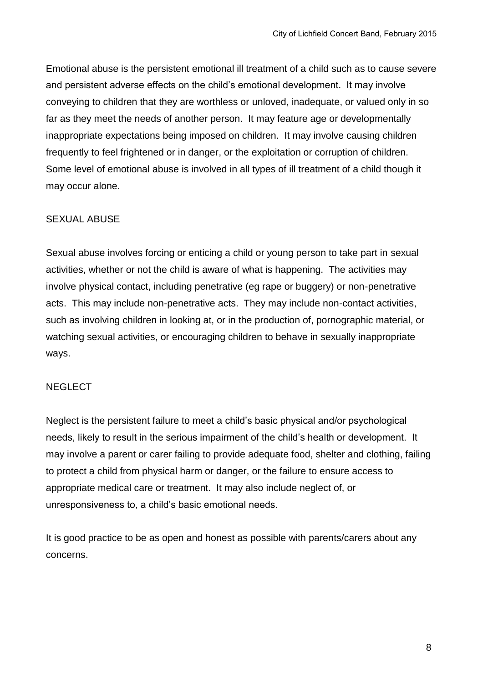Emotional abuse is the persistent emotional ill treatment of a child such as to cause severe and persistent adverse effects on the child's emotional development. It may involve conveying to children that they are worthless or unloved, inadequate, or valued only in so far as they meet the needs of another person. It may feature age or developmentally inappropriate expectations being imposed on children. It may involve causing children frequently to feel frightened or in danger, or the exploitation or corruption of children. Some level of emotional abuse is involved in all types of ill treatment of a child though it may occur alone.

#### SEXUAL ABUSE

Sexual abuse involves forcing or enticing a child or young person to take part in sexual activities, whether or not the child is aware of what is happening. The activities may involve physical contact, including penetrative (eg rape or buggery) or non-penetrative acts. This may include non-penetrative acts. They may include non-contact activities, such as involving children in looking at, or in the production of, pornographic material, or watching sexual activities, or encouraging children to behave in sexually inappropriate ways.

#### **NEGLECT**

Neglect is the persistent failure to meet a child's basic physical and/or psychological needs, likely to result in the serious impairment of the child's health or development. It may involve a parent or carer failing to provide adequate food, shelter and clothing, failing to protect a child from physical harm or danger, or the failure to ensure access to appropriate medical care or treatment. It may also include neglect of, or unresponsiveness to, a child's basic emotional needs.

It is good practice to be as open and honest as possible with parents/carers about any concerns.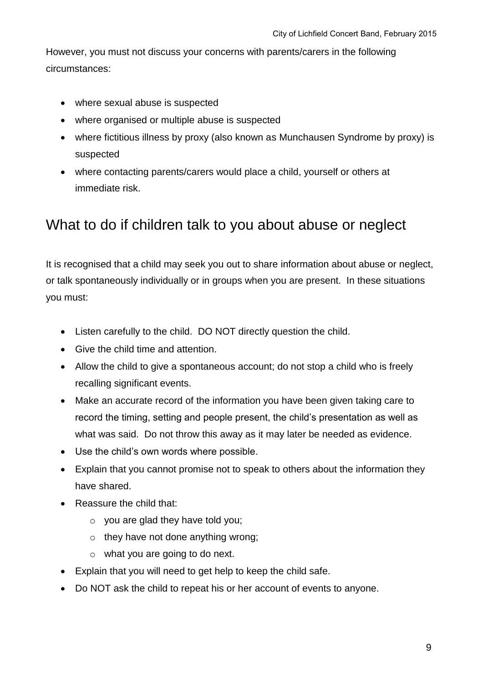However, you must not discuss your concerns with parents/carers in the following circumstances:

- where sexual abuse is suspected
- where organised or multiple abuse is suspected
- where fictitious illness by proxy (also known as Munchausen Syndrome by proxy) is suspected
- where contacting parents/carers would place a child, yourself or others at immediate risk.

### What to do if children talk to you about abuse or neglect

It is recognised that a child may seek you out to share information about abuse or neglect, or talk spontaneously individually or in groups when you are present. In these situations you must:

- Listen carefully to the child. DO NOT directly question the child.
- Give the child time and attention.
- Allow the child to give a spontaneous account; do not stop a child who is freely recalling significant events.
- Make an accurate record of the information you have been given taking care to record the timing, setting and people present, the child's presentation as well as what was said. Do not throw this away as it may later be needed as evidence.
- Use the child's own words where possible.
- Explain that you cannot promise not to speak to others about the information they have shared.
- Reassure the child that:
	- $\circ$  you are glad they have told you;
	- $\circ$  they have not done anything wrong:
	- o what you are going to do next.
- Explain that you will need to get help to keep the child safe.
- Do NOT ask the child to repeat his or her account of events to anyone.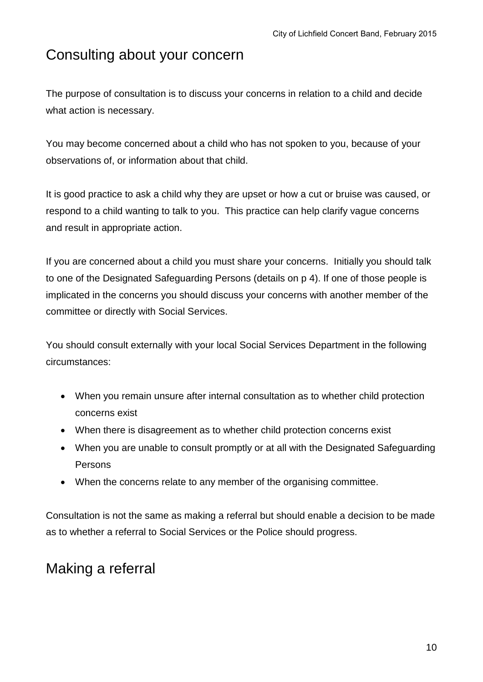## Consulting about your concern

The purpose of consultation is to discuss your concerns in relation to a child and decide what action is necessary.

You may become concerned about a child who has not spoken to you, because of your observations of, or information about that child.

It is good practice to ask a child why they are upset or how a cut or bruise was caused, or respond to a child wanting to talk to you. This practice can help clarify vague concerns and result in appropriate action.

If you are concerned about a child you must share your concerns. Initially you should talk to one of the Designated Safeguarding Persons (details on p 4). If one of those people is implicated in the concerns you should discuss your concerns with another member of the committee or directly with Social Services.

You should consult externally with your local Social Services Department in the following circumstances:

- When you remain unsure after internal consultation as to whether child protection concerns exist
- When there is disagreement as to whether child protection concerns exist
- When you are unable to consult promptly or at all with the Designated Safeguarding Persons
- When the concerns relate to any member of the organising committee.

Consultation is not the same as making a referral but should enable a decision to be made as to whether a referral to Social Services or the Police should progress.

## Making a referral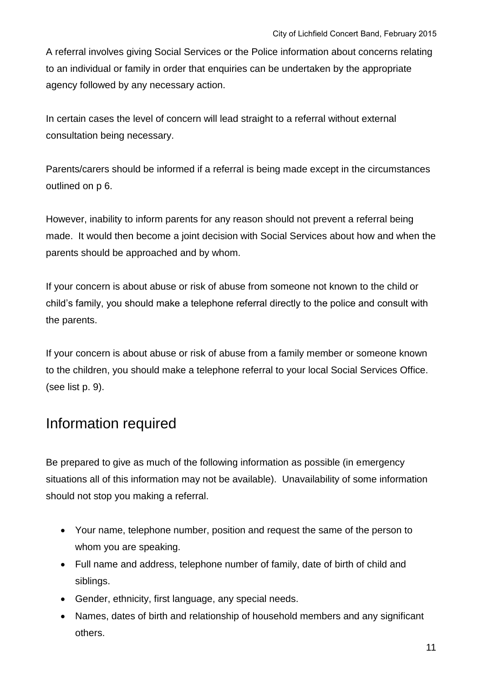A referral involves giving Social Services or the Police information about concerns relating to an individual or family in order that enquiries can be undertaken by the appropriate agency followed by any necessary action.

In certain cases the level of concern will lead straight to a referral without external consultation being necessary.

Parents/carers should be informed if a referral is being made except in the circumstances outlined on p 6.

However, inability to inform parents for any reason should not prevent a referral being made. It would then become a joint decision with Social Services about how and when the parents should be approached and by whom.

If your concern is about abuse or risk of abuse from someone not known to the child or child's family, you should make a telephone referral directly to the police and consult with the parents.

If your concern is about abuse or risk of abuse from a family member or someone known to the children, you should make a telephone referral to your local Social Services Office. (see list p. 9).

# Information required

Be prepared to give as much of the following information as possible (in emergency situations all of this information may not be available). Unavailability of some information should not stop you making a referral.

- Your name, telephone number, position and request the same of the person to whom you are speaking.
- Full name and address, telephone number of family, date of birth of child and siblings.
- Gender, ethnicity, first language, any special needs.
- Names, dates of birth and relationship of household members and any significant others.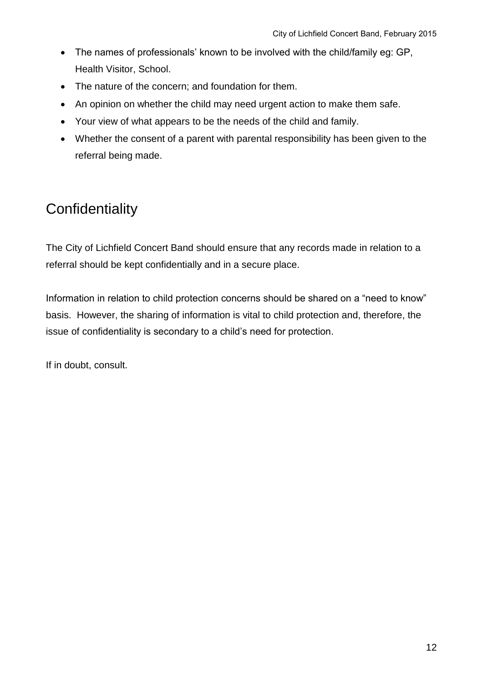- The names of professionals' known to be involved with the child/family eg: GP, Health Visitor, School.
- The nature of the concern; and foundation for them.
- An opinion on whether the child may need urgent action to make them safe.
- Your view of what appears to be the needs of the child and family.
- Whether the consent of a parent with parental responsibility has been given to the referral being made.

## **Confidentiality**

The City of Lichfield Concert Band should ensure that any records made in relation to a referral should be kept confidentially and in a secure place.

Information in relation to child protection concerns should be shared on a "need to know" basis. However, the sharing of information is vital to child protection and, therefore, the issue of confidentiality is secondary to a child's need for protection.

If in doubt, consult.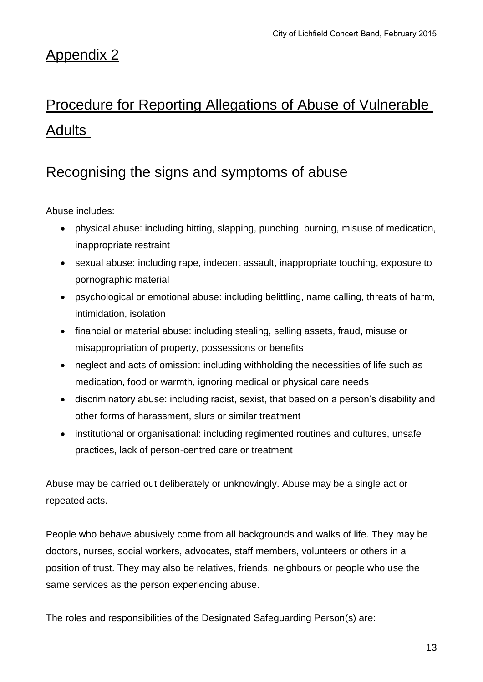# Appendix 2

# Procedure for Reporting Allegations of Abuse of Vulnerable Adults

# Recognising the signs and symptoms of abuse

Abuse includes:

- physical abuse: including hitting, slapping, punching, burning, misuse of medication, inappropriate restraint
- sexual abuse: including rape, indecent assault, inappropriate touching, exposure to pornographic material
- psychological or emotional abuse: including belittling, name calling, threats of harm, intimidation, isolation
- financial or material abuse: including stealing, selling assets, fraud, misuse or misappropriation of property, possessions or benefits
- neglect and acts of omission: including withholding the necessities of life such as medication, food or warmth, ignoring medical or physical care needs
- discriminatory abuse: including racist, sexist, that based on a person's disability and other forms of harassment, slurs or similar treatment
- institutional or organisational: including regimented routines and cultures, unsafe practices, lack of person-centred care or treatment

Abuse may be carried out deliberately or unknowingly. Abuse may be a single act or repeated acts.

People who behave abusively come from all backgrounds and walks of life. They may be doctors, nurses, social workers, advocates, staff members, volunteers or others in a position of trust. They may also be relatives, friends, neighbours or people who use the same services as the person experiencing abuse.

The roles and responsibilities of the Designated Safeguarding Person(s) are: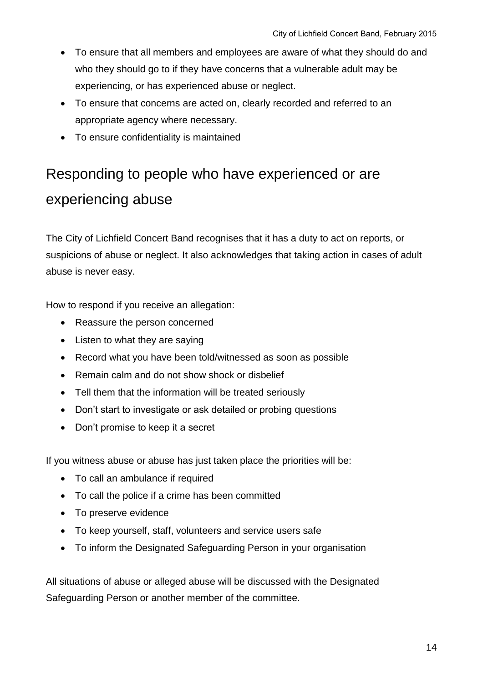- To ensure that all members and employees are aware of what they should do and who they should go to if they have concerns that a vulnerable adult may be experiencing, or has experienced abuse or neglect.
- To ensure that concerns are acted on, clearly recorded and referred to an appropriate agency where necessary.
- To ensure confidentiality is maintained

# Responding to people who have experienced or are experiencing abuse

The City of Lichfield Concert Band recognises that it has a duty to act on reports, or suspicions of abuse or neglect. It also acknowledges that taking action in cases of adult abuse is never easy.

How to respond if you receive an allegation:

- Reassure the person concerned
- Listen to what they are saying
- Record what you have been told/witnessed as soon as possible
- Remain calm and do not show shock or disbelief
- Tell them that the information will be treated seriously
- Don't start to investigate or ask detailed or probing questions
- Don't promise to keep it a secret

If you witness abuse or abuse has just taken place the priorities will be:

- To call an ambulance if required
- To call the police if a crime has been committed
- To preserve evidence
- To keep yourself, staff, volunteers and service users safe
- To inform the Designated Safeguarding Person in your organisation

All situations of abuse or alleged abuse will be discussed with the Designated Safeguarding Person or another member of the committee.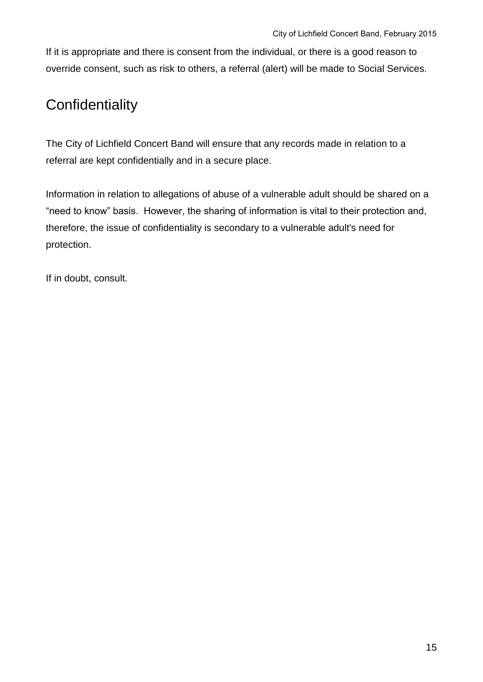If it is appropriate and there is consent from the individual, or there is a good reason to override consent, such as risk to others, a referral (alert) will be made to Social Services.

# **Confidentiality**

The City of Lichfield Concert Band will ensure that any records made in relation to a referral are kept confidentially and in a secure place.

Information in relation to allegations of abuse of a vulnerable adult should be shared on a "need to know" basis. However, the sharing of information is vital to their protection and, therefore, the issue of confidentiality is secondary to a vulnerable adult's need for protection.

If in doubt, consult.